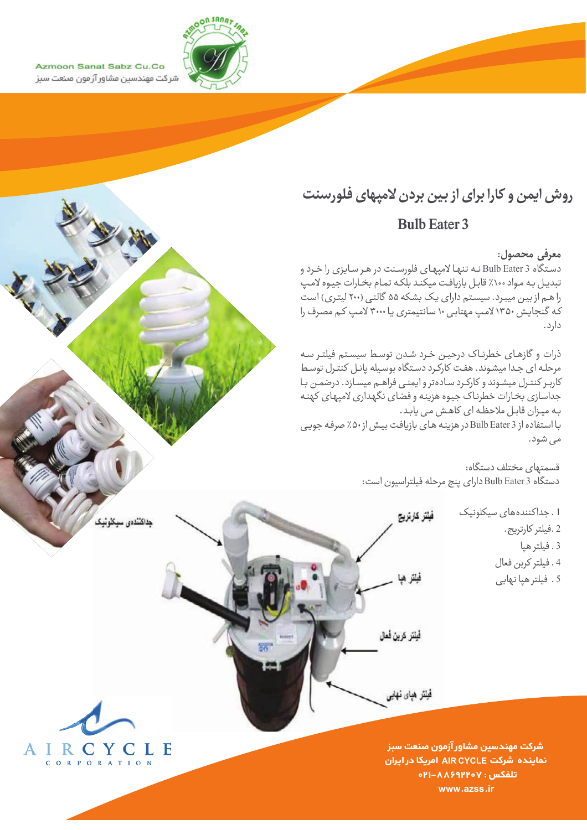

Azmoon Sanat Sabz Cu.Co شر کت مهندسین مشاور آز مون صنعت سبز

# روش ایمن و کارا برای از بین بردن لامپهای فلورسنت

## **Bulb Eater 3**

#### معرفي محصول:

دستگاه Bulb Eater 3 نه تنها لامپهای فلورسنت در هر سایزی را خرد و تبديل به مواد ١٠٠٪ قابل بازيافت ميكند بلكه تمام بخارات جيوه لامپ را هم از بین میبرد. سیستم دارای یک بشکه ۵۵ گالنی (۲۰۰ لیتری) است که گنجایش ۱۳۵۰ لامپ مهتابی ۱۰ سانتیمتری یا ۳۰۰۰ لامپ کـم مصرف را دارد.

ذرات و گازهای خطرناک درحین خرد شدن توسط سیستم فیلتر سه - روت را - روت ی - حسرت - - - روت سر می کند.<br>مرحله ای جدا میشوند. هفت کارکرد دستگاه بوسیله پانل کنترل توسط کاربر کنترل میشوند و کارکرد سادهتر و ایمنی فراهـم میسـازد. درضمـن بـا جداسازي بخارات خطرناك جيوه هزينه وفضاى نگهداري لامپهاي كهنه به میزان قابل ملاحظه ای کاهش می یابد. با استفاده از Bulb Eater 3 در هزینه های بازیافت بیش از ۵۰٪ صرفه جویی می شود.

فيلتر كارتريج

فحلتن هبا

فُبِلَتَر كرينَ فَعَالَ

فْيَلَنْز هْيَاي نْهَايِي

قسمتهای مختلف دستگاه: دستگاه Bulb Eater 3 داراي ينج مرحله فيلتراسيون است:

> 1. جداکنندههای سیکلونیک 2 .فيلتر كارتريج . 3. فيلتر هيا 4. فيلتر كربن فعال 5 . فیلتر هیا نهایی

IRCYCLE A جله ای جد<sup>ّ</sup> CORPORATION

لا ملاحظه ای کاهش

سازد.

داكنندەي سىكلو ئىك

شركت مهندسين مشاور آزمون صنعت سبز نماینده شرکت AIR CYCLE امریکا در ایران o۲۱–۸۸۶۹۲۲۰۷ : ۰۲۱–۱ www.azss.ir